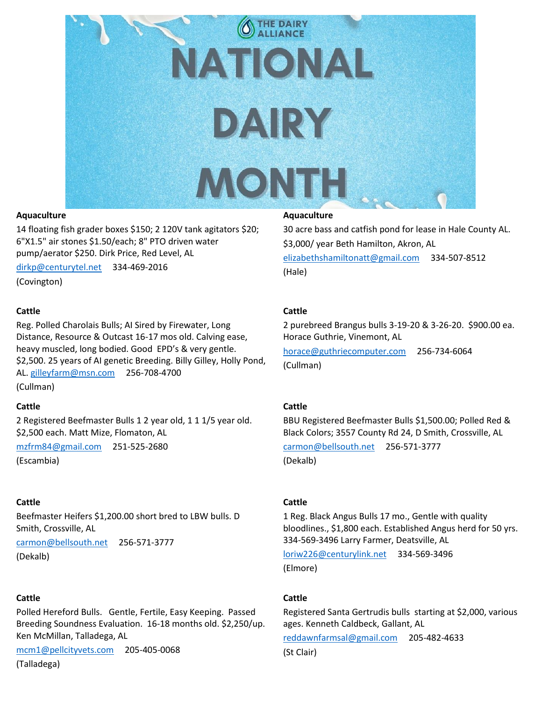

### **Aquaculture**

14 floating fish grader boxes \$150; 2 120V tank agitators \$20; 6"X1.5" air stones \$1.50/each; 8" PTO driven water pump/aerator \$250. Dirk Price, Red Level, AL

[dirkp@centurytel.net](mailto:dirkp@centurytel.net) 334-469-2016

(Covington)

### **Cattle**

Reg. Polled Charolais Bulls; AI Sired by Firewater, Long Distance, Resource & Outcast 16-17 mos old. Calving ease, heavy muscled, long bodied. Good EPD's & very gentle. \$2,500. 25 years of AI genetic Breeding. Billy Gilley, Holly Pond, AL[. gilleyfarm@msn.com](mailto:gilleyfarm@msn.com) 256-708-4700 (Cullman)

### **Cattle**

2 Registered Beefmaster Bulls 1 2 year old, 1 1 1/5 year old. \$2,500 each. Matt Mize, Flomaton, AL

[mzfrm84@gmail.com](mailto:mzfrm84@gmail.com) 251-525-2680

(Escambia)

### **Cattle**

Beefmaster Heifers \$1,200.00 short bred to LBW bulls. D Smith, Crossville, AL

[carmon@bellsouth.net](mailto:carmon@bellsouth.net) 256-571-3777 (Dekalb)

### **Cattle**

Polled Hereford Bulls. Gentle, Fertile, Easy Keeping. Passed Breeding Soundness Evaluation. 16-18 months old. \$2,250/up. Ken McMillan, Talladega, AL

[mcm1@pellcityvets.com](mailto:mcm1@pellcityvets.com) 205-405-0068

(Talladega)

### **Aquaculture**

30 acre bass and catfish pond for lease in Hale County AL. \$3,000/ year Beth Hamilton, Akron, AL [elizabethshamiltonatt@gmail.com](mailto:elizabethshamiltonatt@gmail.com) 334-507-8512 (Hale)

### **Cattle**

2 purebreed Brangus bulls 3-19-20 & 3-26-20. \$900.00 ea. Horace Guthrie, Vinemont, AL

[horace@guthriecomputer.com](mailto:horace@guthriecomputer.com) 256-734-6064 (Cullman)

### **Cattle**

BBU Registered Beefmaster Bulls \$1,500.00; Polled Red & Black Colors; 3557 County Rd 24, D Smith, Crossville, AL [carmon@bellsouth.net](mailto:carmon@bellsouth.net) 256-571-3777

(Dekalb)

### **Cattle**

1 Reg. Black Angus Bulls 17 mo., Gentle with quality bloodlines., \$1,800 each. Established Angus herd for 50 yrs. 334-569-3496 Larry Farmer, Deatsville, AL

[loriw226@centurylink.net](mailto:loriw226@centurylink.net) 334-569-3496 (Elmore)

### **Cattle**

Registered Santa Gertrudis bulls starting at \$2,000, various ages. Kenneth Caldbeck, Gallant, AL

[reddawnfarmsal@gmail.com](mailto:reddawnfarmsal@gmail.com) 205-482-4633

(St Clair)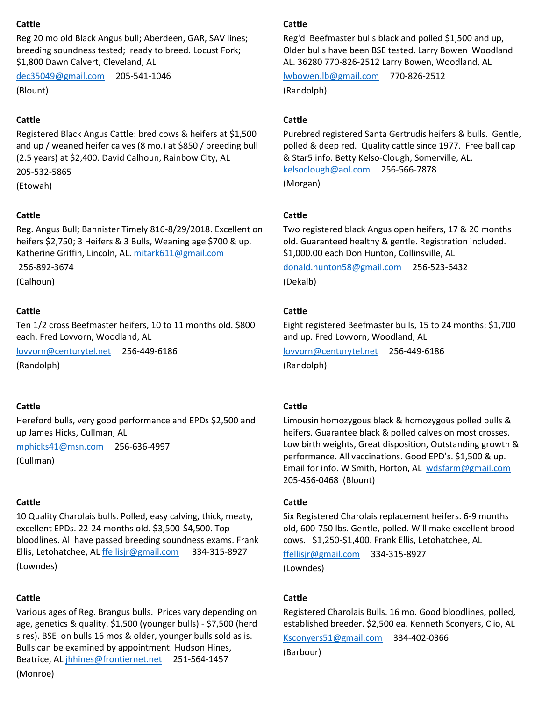# **Cattle**

Reg 20 mo old Black Angus bull; Aberdeen, GAR, SAV lines; breeding soundness tested; ready to breed. Locust Fork; \$1,800 Dawn Calvert, Cleveland, AL

[dec35049@gmail.com](mailto:dec35049@gmail.com) 205-541-1046 (Blount)

# **Cattle**

Registered Black Angus Cattle: bred cows & heifers at \$1,500 and up / weaned heifer calves (8 mo.) at \$850 / breeding bull (2.5 years) at \$2,400. David Calhoun, Rainbow City, AL

205-532-5865

(Etowah)

# **Cattle**

Reg. Angus Bull; Bannister Timely 816-8/29/2018. Excellent on heifers \$2,750; 3 Heifers & 3 Bulls, Weaning age \$700 & up. Katherine Griffin, Lincoln, AL. [mitark611@gmail.com](mailto:mitark611@gmail.com)

256-892-3674

(Calhoun)

### **Cattle**

Ten 1/2 cross Beefmaster heifers, 10 to 11 months old. \$800 each. Fred Lovvorn, Woodland, AL

[lovvorn@centurytel.net](mailto:lovvorn@centurytel.net) 256-449-6186

(Randolph)

### **Cattle**

Hereford bulls, very good performance and EPDs \$2,500 and up James Hicks, Cullman, AL

[mphicks41@msn.com](mailto:mphicks41@msn.com) 256-636-4997

(Cullman)

### **Cattle**

10 Quality Charolais bulls. Polled, easy calving, thick, meaty, excellent EPDs. 22-24 months old. \$3,500-\$4,500. Top bloodlines. All have passed breeding soundness exams. Frank Ellis, Letohatchee, AL [ffellisjr@gmail.com](mailto:ffellisjr@gmail.com) 334-315-8927 (Lowndes)

### **Cattle**

Various ages of Reg. Brangus bulls. Prices vary depending on age, genetics & quality. \$1,500 (younger bulls) - \$7,500 (herd sires). BSE on bulls 16 mos & older, younger bulls sold as is. Bulls can be examined by appointment. Hudson Hines, Beatrice, AL [jhhines@frontiernet.net](mailto:jhhines@frontiernet.net) 251-564-1457 (Monroe)

### **Cattle**

Reg'd Beefmaster bulls black and polled \$1,500 and up, Older bulls have been BSE tested. Larry Bowen Woodland AL. 36280 770-826-2512 Larry Bowen, Woodland, AL

[lwbowen.lb@gmail.com](mailto:lwbowen.lb@gmail.com) 770-826-2512 (Randolph)

### **Cattle**

Purebred registered Santa Gertrudis heifers & bulls. Gentle, polled & deep red. Quality cattle since 1977. Free ball cap & Star5 info. Betty Kelso-Clough, Somerville, AL. [kelsoclough@aol.com](mailto:kelsoclough@aol.com) 256-566-7878 (Morgan)

### **Cattle**

Two registered black Angus open heifers, 17 & 20 months old. Guaranteed healthy & gentle. Registration included. \$1,000.00 each Don Hunton, Collinsville, AL

[donald.hunton58@gmail.com](mailto:donald.hunton58@gmail.com) 256-523-6432 (Dekalb)

### **Cattle**

Eight registered Beefmaster bulls, 15 to 24 months; \$1,700 and up. Fred Lovvorn, Woodland, AL

[lovvorn@centurytel.net](mailto:lovvorn@centurytel.net) 256-449-6186 (Randolph)

### **Cattle**

Limousin homozygous black & homozygous polled bulls & heifers. Guarantee black & polled calves on most crosses. Low birth weights, Great disposition, Outstanding growth & performance. All vaccinations. Good EPD's. \$1,500 & up. Email for info. W Smith, Horton, AL [wdsfarm@gmail.com](mailto:wdsfarm@gmail.com) 205-456-0468 (Blount)

### **Cattle**

Six Registered Charolais replacement heifers. 6-9 months old, 600-750 lbs. Gentle, polled. Will make excellent brood cows. \$1,250-\$1,400. Frank Ellis, Letohatchee, AL

[ffellisjr@gmail.com](mailto:ffellisjr@gmail.com) 334-315-8927

(Lowndes)

### **Cattle**

Registered Charolais Bulls. 16 mo. Good bloodlines, polled, established breeder. \$2,500 ea. Kenneth Sconyers, Clio, AL

[Ksconyers51@gmail.com](mailto:Ksconyers51@gmail.com) 334-402-0366

(Barbour)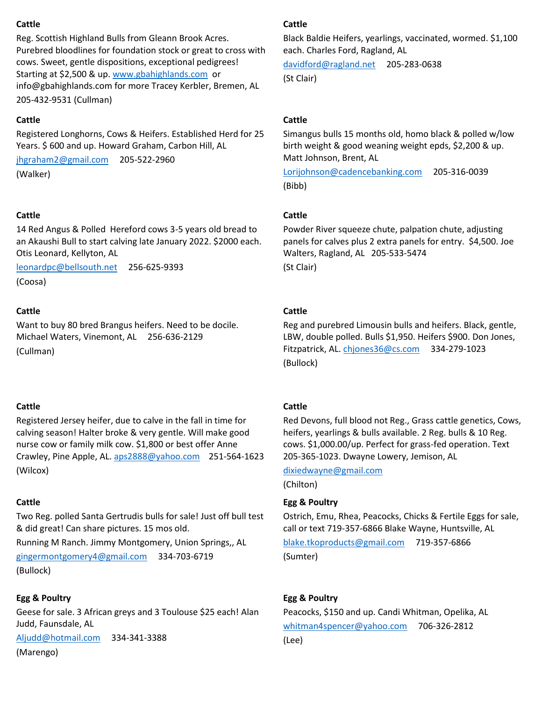# **Cattle**

Reg. Scottish Highland Bulls from Gleann Brook Acres. Purebred bloodlines for foundation stock or great to cross with cows. Sweet, gentle dispositions, exceptional pedigrees! Starting at \$2,500 & up. [www.gbahighlands.com](http://www.gbahighlands.com/) or info@gbahighlands.com for more Tracey Kerbler, Bremen, AL 205-432-9531 (Cullman)

# **Cattle**

Registered Longhorns, Cows & Heifers. Established Herd for 25 Years. \$600 and up. Howard Graham, Carbon Hill, AL

[jhgraham2@gmail.com](mailto:jhgraham2@gmail.com) 205-522-2960 (Walker)

# **Cattle**

14 Red Angus & Polled Hereford cows 3-5 years old bread to an Akaushi Bull to start calving late January 2022. \$2000 each. Otis Leonard, Kellyton, AL

[leonardpc@bellsouth.net](mailto:leonardpc@bellsouth.net) 256-625-9393 (Coosa)

# **Cattle**

Want to buy 80 bred Brangus heifers. Need to be docile. Michael Waters, Vinemont, AL 256-636-2129 (Cullman)

# **Cattle**

Registered Jersey heifer, due to calve in the fall in time for calving season! Halter broke & very gentle. Will make good nurse cow or family milk cow. \$1,800 or best offer Anne Crawley, Pine Apple, AL. [aps2888@yahoo.com](mailto:aps2888@yahoo.com) 251-564-1623 (Wilcox)

# **Cattle**

Two Reg. polled Santa Gertrudis bulls for sale! Just off bull test & did great! Can share pictures. 15 mos old.

Running M Ranch. Jimmy Montgomery, Union Springs,, AL [gingermontgomery4@gmail.com](mailto:gingermontgomery4@gmail.com) 334-703-6719

(Bullock)

# **Egg & Poultry**

Geese for sale. 3 African greys and 3 Toulouse \$25 each! Alan Judd, Faunsdale, AL

[Aljudd@hotmail.com](mailto:Aljudd@hotmail.com) 334-341-3388

(Marengo)

# **Cattle**

Black Baldie Heifers, yearlings, vaccinated, wormed. \$1,100 each. Charles Ford, Ragland, AL

[davidford@ragland.net](mailto:davidford@ragland.net) 205-283-0638 (St Clair)

# **Cattle**

Simangus bulls 15 months old, homo black & polled w/low birth weight & good weaning weight epds, \$2,200 & up. Matt Johnson, Brent, AL

[Lorijohnson@cadencebanking.com](mailto:Lorijohnson@cadencebanking.com) 205-316-0039 (Bibb)

# **Cattle**

Powder River squeeze chute, palpation chute, adjusting panels for calves plus 2 extra panels for entry. \$4,500. Joe Walters, Ragland, AL 205-533-5474 (St Clair)

# **Cattle**

Reg and purebred Limousin bulls and heifers. Black, gentle, LBW, double polled. Bulls \$1,950. Heifers \$900. Don Jones, Fitzpatrick, AL[. chjones36@cs.com](mailto:chjones36@cs.com) 334-279-1023 (Bullock)

# **Cattle**

Red Devons, full blood not Reg., Grass cattle genetics, Cows, heifers, yearlings & bulls available. 2 Reg. bulls & 10 Reg. cows. \$1,000.00/up. Perfect for grass-fed operation. Text 205-365-1023. Dwayne Lowery, Jemison, AL

[dixiedwayne@gmail.com](mailto:dixiedwayne@gmail.com)

(Chilton)

# **Egg & Poultry**

Ostrich, Emu, Rhea, Peacocks, Chicks & Fertile Eggs for sale, call or text 719-357-6866 Blake Wayne, Huntsville, AL

[blake.tkoproducts@gmail.com](mailto:blake.tkoproducts@gmail.com) 719-357-6866 (Sumter)

# **Egg & Poultry**

Peacocks, \$150 and up. Candi Whitman, Opelika, AL [whitman4spencer@yahoo.com](mailto:whitman4spencer@yahoo.com) 706-326-2812 (Lee)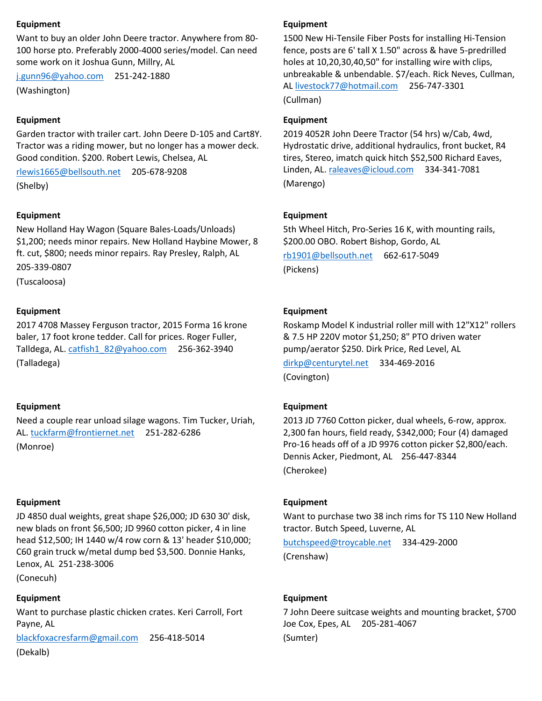### **Equipment**

Want to buy an older John Deere tractor. Anywhere from 80- 100 horse pto. Preferably 2000-4000 series/model. Can need some work on it Joshua Gunn, Millry, AL

[j.gunn96@yahoo.com](mailto:j.gunn96@yahoo.com) 251-242-1880

(Washington)

### **Equipment**

Garden tractor with trailer cart. John Deere D-105 and Cart8Y. Tractor was a riding mower, but no longer has a mower deck. Good condition. \$200. Robert Lewis, Chelsea, AL

[rlewis1665@bellsouth.net](mailto:rlewis1665@bellsouth.net) 205-678-9208 (Shelby)

#### **Equipment**

New Holland Hay Wagon (Square Bales-Loads/Unloads) \$1,200; needs minor repairs. New Holland Haybine Mower, 8 ft. cut, \$800; needs minor repairs. Ray Presley, Ralph, AL 205-339-0807 (Tuscaloosa)

**Equipment**

2017 4708 Massey Ferguson tractor, 2015 Forma 16 krone baler, 17 foot krone tedder. Call for prices. Roger Fuller, Talldega, AL. [catfish1\\_82@yahoo.com](mailto:catfish1_82@yahoo.com) 256-362-3940 (Talladega)

### **Equipment**

Need a couple rear unload silage wagons. Tim Tucker, Uriah, AL[. tuckfarm@frontiernet.net](mailto:tuckfarm@frontiernet.net) 251-282-6286

(Monroe)

#### **Equipment**

JD 4850 dual weights, great shape \$26,000; JD 630 30' disk, new blads on front \$6,500; JD 9960 cotton picker, 4 in line head \$12,500; IH 1440 w/4 row corn & 13' header \$10,000; C60 grain truck w/metal dump bed \$3,500. Donnie Hanks, Lenox, AL 251-238-3006

(Conecuh)

#### **Equipment**

Want to purchase plastic chicken crates. Keri Carroll, Fort Payne, AL [blackfoxacresfarm@gmail.com](mailto:blackfoxacresfarm@gmail.com) 256-418-5014

(Dekalb)

### **Equipment**

1500 New Hi-Tensile Fiber Posts for installing Hi-Tension fence, posts are 6' tall X 1.50" across & have 5-predrilled holes at 10,20,30,40,50" for installing wire with clips, unbreakable & unbendable. \$7/each. Rick Neves, Cullman, AL [livestock77@hotmail.com](mailto:livestock77@hotmail.com) 256-747-3301 (Cullman)

**Equipment**

2019 4052R John Deere Tractor (54 hrs) w/Cab, 4wd, Hydrostatic drive, additional hydraulics, front bucket, R4 tires, Stereo, imatch quick hitch \$52,500 Richard Eaves, Linden, AL[. raleaves@icloud.com](mailto:raleaves@icloud.com) 334-341-7081 (Marengo)

#### **Equipment**

5th Wheel Hitch, Pro-Series 16 K, with mounting rails, \$200.00 OBO. Robert Bishop, Gordo, AL

[rb1901@bellsouth.net](mailto:rb1901@bellsouth.net) 662-617-5049 (Pickens)

### **Equipment**

Roskamp Model K industrial roller mill with 12"X12" rollers & 7.5 HP 220V motor \$1,250; 8" PTO driven water pump/aerator \$250. Dirk Price, Red Level, AL

[dirkp@centurytel.net](mailto:dirkp@centurytel.net) 334-469-2016 (Covington)

### **Equipment**

2013 JD 7760 Cotton picker, dual wheels, 6-row, approx. 2,300 fan hours, field ready, \$342,000; Four (4) damaged Pro-16 heads off of a JD 9976 cotton picker \$2,800/each. Dennis Acker, Piedmont, AL 256-447-8344 (Cherokee)

**Equipment**

Want to purchase two 38 inch rims for TS 110 New Holland tractor. Butch Speed, Luverne, AL

[butchspeed@troycable.net](mailto:butchspeed@troycable.net) 334-429-2000 (Crenshaw)

#### **Equipment**

7 John Deere suitcase weights and mounting bracket, \$700 Joe Cox, Epes, AL 205-281-4067 (Sumter)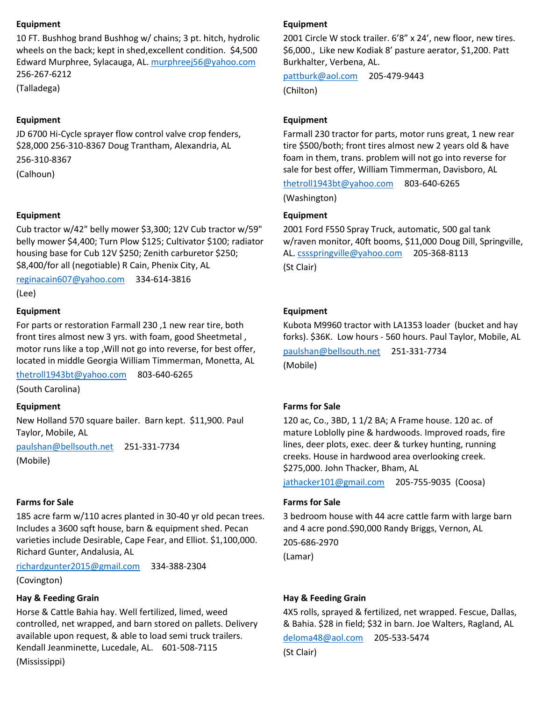### **Equipment**

10 FT. Bushhog brand Bushhog w/ chains; 3 pt. hitch, hydrolic wheels on the back; kept in shed,excellent condition. \$4,500 Edward Murphree, Sylacauga, AL. [murphreej56@yahoo.com](mailto:murphreej56@yahoo.com) 256-267-6212

(Talladega)

### **Equipment**

JD 6700 Hi-Cycle sprayer flow control valve crop fenders, \$28,000 256-310-8367 Doug Trantham, Alexandria, AL

256-310-8367

(Calhoun)

### **Equipment**

Cub tractor w/42" belly mower \$3,300; 12V Cub tractor w/59" belly mower \$4,400; Turn Plow \$125; Cultivator \$100; radiator housing base for Cub 12V \$250; Zenith carburetor \$250; \$8,400/for all (negotiable) R Cain, Phenix City, AL

[reginacain607@yahoo.com](mailto:reginacain607@yahoo.com) 334-614-3816

(Lee)

### **Equipment**

For parts or restoration Farmall 230 ,1 new rear tire, both front tires almost new 3 yrs. with foam, good Sheetmetal , motor runs like a top ,Will not go into reverse, for best offer, located in middle Georgia William Timmerman, Monetta, AL

[thetroll1943bt@yahoo.com](mailto:thetroll1943bt@yahoo.com) 803-640-6265

(South Carolina)

### **Equipment**

New Holland 570 square bailer. Barn kept. \$11,900. Paul Taylor, Mobile, AL

[paulshan@bellsouth.net](mailto:paulshan@bellsouth.net) 251-331-7734 (Mobile)

### **Farms for Sale**

185 acre farm w/110 acres planted in 30-40 yr old pecan trees. Includes a 3600 sqft house, barn & equipment shed. Pecan varieties include Desirable, Cape Fear, and Elliot. \$1,100,000. Richard Gunter, Andalusia, AL

[richardgunter2015@gmail.com](mailto:richardgunter2015@gmail.com) 334-388-2304

(Covington)

### **Hay & Feeding Grain**

Horse & Cattle Bahia hay. Well fertilized, limed, weed controlled, net wrapped, and barn stored on pallets. Delivery available upon request, & able to load semi truck trailers. Kendall Jeanminette, Lucedale, AL. 601-508-7115

(Mississippi)

### **Equipment**

2001 Circle W stock trailer. 6'8" x 24', new floor, new tires. \$6,000., Like new Kodiak 8' pasture aerator, \$1,200. Patt Burkhalter, Verbena, AL.

[pattburk@aol.com](mailto:pattburk@aol.com) 205-479-9443

(Chilton)

### **Equipment**

Farmall 230 tractor for parts, motor runs great, 1 new rear tire \$500/both; front tires almost new 2 years old & have foam in them, trans. problem will not go into reverse for sale for best offer, William Timmerman, Davisboro, AL

[thetroll1943bt@yahoo.com](mailto:thetroll1943bt@yahoo.com) 803-640-6265

(Washington)

### **Equipment**

2001 Ford F550 Spray Truck, automatic, 500 gal tank w/raven monitor, 40ft booms, \$11,000 Doug Dill, Springville, AL. [cssspringville@yahoo.com](mailto:cssspringville@yahoo.com) 205-368-8113 (St Clair)

### **Equipment**

Kubota M9960 tractor with LA1353 loader (bucket and hay forks). \$36K. Low hours - 560 hours. Paul Taylor, Mobile, AL

[paulshan@bellsouth.net](mailto:paulshan@bellsouth.net) 251-331-7734 (Mobile)

### **Farms for Sale**

120 ac, Co., 3BD, 1 1/2 BA; A Frame house. 120 ac. of mature Loblolly pine & hardwoods. Improved roads, fire lines, deer plots, exec. deer & turkey hunting, running creeks. House in hardwood area overlooking creek. \$275,000. John Thacker, Bham, AL

[jathacker101@gmail.com](mailto:jathacker101@gmail.com) 205-755-9035 (Coosa)

### **Farms for Sale**

3 bedroom house with 44 acre cattle farm with large barn and 4 acre pond.\$90,000 Randy Briggs, Vernon, AL 205-686-2970

(Lamar)

### **Hay & Feeding Grain**

4X5 rolls, sprayed & fertilized, net wrapped. Fescue, Dallas, & Bahia. \$28 in field; \$32 in barn. Joe Walters, Ragland, AL

[deloma48@aol.com](mailto:deloma48@aol.com) 205-533-5474

(St Clair)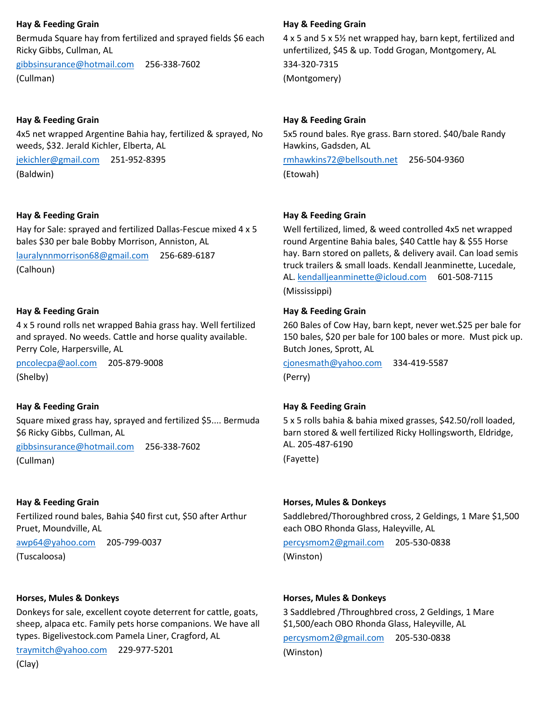# **Hay & Feeding Grain**

Bermuda Square hay from fertilized and sprayed fields \$6 each Ricky Gibbs, Cullman, AL

[gibbsinsurance@hotmail.com](mailto:gibbsinsurance@hotmail.com) 256-338-7602 (Cullman)

# **Hay & Feeding Grain**

4x5 net wrapped Argentine Bahia hay, fertilized & sprayed, No weeds, \$32. Jerald Kichler, Elberta, AL

[jekichler@gmail.com](mailto:jekichler@gmail.com) 251-952-8395 (Baldwin)

### **Hay & Feeding Grain**

Hay for Sale: sprayed and fertilized Dallas-Fescue mixed 4 x 5 bales \$30 per bale Bobby Morrison, Anniston, AL

[lauralynnmorrison68@gmail.com](mailto:lauralynnmorrison68@gmail.com) 256-689-6187 (Calhoun)

### **Hay & Feeding Grain**

4 x 5 round rolls net wrapped Bahia grass hay. Well fertilized and sprayed. No weeds. Cattle and horse quality available. Perry Cole, Harpersville, AL

[pncolecpa@aol.com](mailto:pncolecpa@aol.com) 205-879-9008 (Shelby)

### **Hay & Feeding Grain**

Square mixed grass hay, sprayed and fertilized \$5.... Bermuda \$6 Ricky Gibbs, Cullman, AL

[gibbsinsurance@hotmail.com](mailto:gibbsinsurance@hotmail.com) 256-338-7602

(Cullman)

### **Hay & Feeding Grain**

Fertilized round bales, Bahia \$40 first cut, \$50 after Arthur Pruet, Moundville, AL

[awp64@yahoo.com](mailto:awp64@yahoo.com) 205-799-0037

(Tuscaloosa)

### **Horses, Mules & Donkeys**

Donkeys for sale, excellent coyote deterrent for cattle, goats, sheep, alpaca etc. Family pets horse companions. We have all types. Bigelivestock.com Pamela Liner, Cragford, AL

[traymitch@yahoo.com](mailto:traymitch@yahoo.com) 229-977-5201

(Clay)

### **Hay & Feeding Grain**

4 x 5 and 5 x 5½ net wrapped hay, barn kept, fertilized and unfertilized, \$45 & up. Todd Grogan, Montgomery, AL

334-320-7315 (Montgomery)

### **Hay & Feeding Grain**

5x5 round bales. Rye grass. Barn stored. \$40/bale Randy Hawkins, Gadsden, AL

[rmhawkins72@bellsouth.net](mailto:rmhawkins72@bellsouth.net) 256-504-9360 (Etowah)

### **Hay & Feeding Grain**

Well fertilized, limed, & weed controlled 4x5 net wrapped round Argentine Bahia bales, \$40 Cattle hay & \$55 Horse hay. Barn stored on pallets, & delivery avail. Can load semis truck trailers & small loads. Kendall Jeanminette, Lucedale, AL. [kendalljeanminette@icloud.com](mailto:kendalljeanminette@icloud.com) 601-508-7115 (Mississippi)

### **Hay & Feeding Grain**

260 Bales of Cow Hay, barn kept, never wet.\$25 per bale for 150 bales, \$20 per bale for 100 bales or more. Must pick up. Butch Jones, Sprott, AL

[cjonesmath@yahoo.com](mailto:cjonesmath@yahoo.com) 334-419-5587 (Perry)

### **Hay & Feeding Grain**

5 x 5 rolls bahia & bahia mixed grasses, \$42.50/roll loaded, barn stored & well fertilized Ricky Hollingsworth, Eldridge, AL. 205-487-6190

(Fayette)

### **Horses, Mules & Donkeys**

Saddlebred/Thoroughbred cross, 2 Geldings, 1 Mare \$1,500 each OBO Rhonda Glass, Haleyville, AL

[percysmom2@gmail.com](mailto:percysmom2@gmail.com) 205-530-0838 (Winston)

### **Horses, Mules & Donkeys**

3 Saddlebred /Throughbred cross, 2 Geldings, 1 Mare \$1,500/each OBO Rhonda Glass, Haleyville, AL

[percysmom2@gmail.com](mailto:percysmom2@gmail.com) 205-530-0838

(Winston)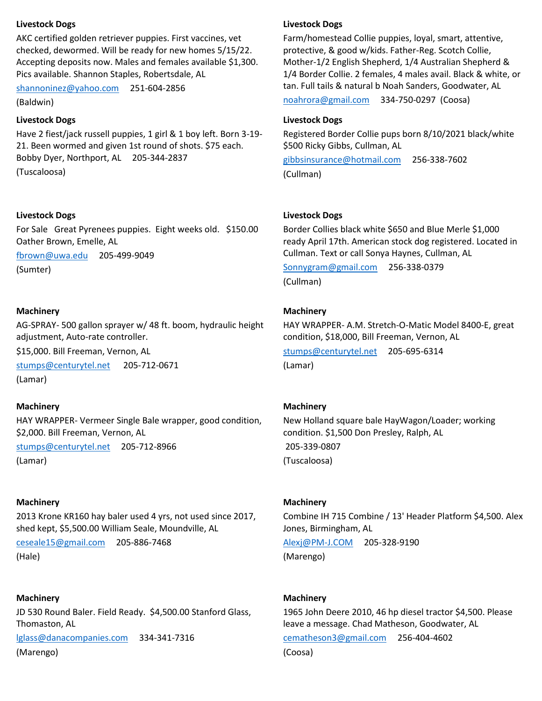### **Livestock Dogs**

AKC certified golden retriever puppies. First vaccines, vet checked, dewormed. Will be ready for new homes 5/15/22. Accepting deposits now. Males and females available \$1,300. Pics available. Shannon Staples, Robertsdale, AL

[shannoninez@yahoo.com](mailto:shannoninez@yahoo.com) 251-604-2856

(Baldwin)

# **Livestock Dogs**

Have 2 fiest/jack russell puppies, 1 girl & 1 boy left. Born 3-19- 21. Been wormed and given 1st round of shots. \$75 each. Bobby Dyer, Northport, AL 205-344-2837

(Tuscaloosa)

# **Livestock Dogs**

For Sale Great Pyrenees puppies. Eight weeks old. \$150.00 Oather Brown, Emelle, AL

[fbrown@uwa.edu](mailto:fbrown@uwa.edu) 205-499-9049

(Sumter)

# **Machinery**

AG-SPRAY- 500 gallon sprayer w/ 48 ft. boom, hydraulic height adjustment, Auto-rate controller.

\$15,000. Bill Freeman, Vernon, AL

[stumps@centurytel.net](mailto:stumps@centurytel.net) 205-712-0671 (Lamar)

### **Machinery**

HAY WRAPPER- Vermeer Single Bale wrapper, good condition, \$2,000. Bill Freeman, Vernon, AL

[stumps@centurytel.net](mailto:stumps@centurytel.net) 205-712-8966

(Lamar)

### **Machinery**

2013 Krone KR160 hay baler used 4 yrs, not used since 2017, shed kept, \$5,500.00 William Seale, Moundville, AL

[ceseale15@gmail.com](mailto:ceseale15@gmail.com) 205-886-7468 (Hale)

# **Machinery**

JD 530 Round Baler. Field Ready. \$4,500.00 Stanford Glass, Thomaston, AL [lglass@danacompanies.com](mailto:lglass@danacompanies.com) 334-341-7316 (Marengo)

### **Livestock Dogs**

Farm/homestead Collie puppies, loyal, smart, attentive, protective, & good w/kids. Father-Reg. Scotch Collie, Mother-1/2 English Shepherd, 1/4 Australian Shepherd & 1/4 Border Collie. 2 females, 4 males avail. Black & white, or tan. Full tails & natural b Noah Sanders, Goodwater, AL [noahrora@gmail.com](mailto:noahrora@gmail.com) 334-750-0297 (Coosa)

# **Livestock Dogs**

Registered Border Collie pups born 8/10/2021 black/white \$500 Ricky Gibbs, Cullman, AL

[gibbsinsurance@hotmail.com](mailto:gibbsinsurance@hotmail.com) 256-338-7602 (Cullman)

# **Livestock Dogs**

Border Collies black white \$650 and Blue Merle \$1,000 ready April 17th. American stock dog registered. Located in Cullman. Text or call Sonya Haynes, Cullman, AL

[Sonnygram@gmail.com](mailto:Sonnygram@gmail.com) 256-338-0379 (Cullman)

# **Machinery**

HAY WRAPPER- A.M. Stretch-O-Matic Model 8400-E, great condition, \$18,000, Bill Freeman, Vernon, AL

[stumps@centurytel.net](mailto:stumps@centurytel.net) 205-695-6314 (Lamar)

# **Machinery**

New Holland square bale HayWagon/Loader; working condition. \$1,500 Don Presley, Ralph, AL 205-339-0807 (Tuscaloosa)

### **Machinery**

Combine IH 715 Combine / 13' Header Platform \$4,500. Alex Jones, Birmingham, AL

[Alexj@PM-J.COM](mailto:Alexj@PM-J.COM) 205-328-9190 (Marengo)

### **Machinery**

1965 John Deere 2010, 46 hp diesel tractor \$4,500. Please leave a message. Chad Matheson, Goodwater, AL

[cematheson3@gmail.com](mailto:cematheson3@gmail.com) 256-404-4602

(Coosa)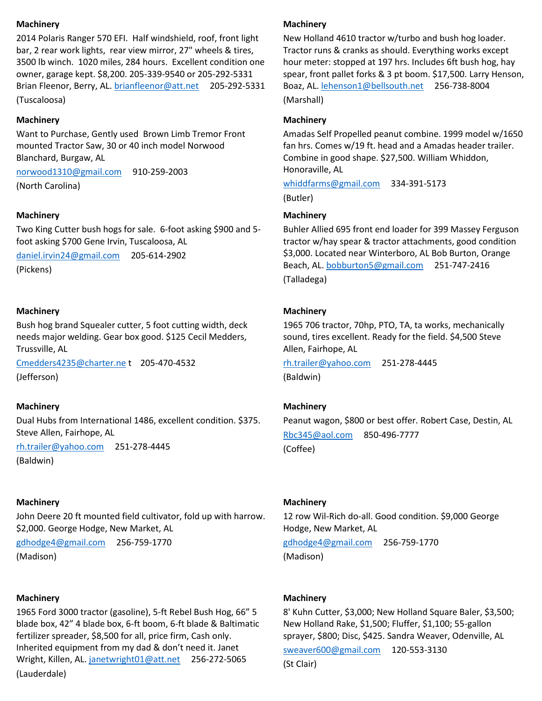### **Machinery**

2014 Polaris Ranger 570 EFI. Half windshield, roof, front light bar, 2 rear work lights, rear view mirror, 27" wheels & tires, 3500 lb winch. 1020 miles, 284 hours. Excellent condition one owner, garage kept. \$8,200. 205-339-9540 or 205-292-5331 Brian Fleenor, Berry, AL. [brianfleenor@att.net](mailto:brianfleenor@att.net) 205-292-5331 (Tuscaloosa)

### **Machinery**

Want to Purchase, Gently used Brown Limb Tremor Front mounted Tractor Saw, 30 or 40 inch model Norwood Blanchard, Burgaw, AL

[norwood1310@gmail.com](mailto:norwood1310@gmail.com) 910-259-2003 (North Carolina)

### **Machinery**

Two King Cutter bush hogs for sale. 6-foot asking \$900 and 5 foot asking \$700 Gene Irvin, Tuscaloosa, AL

[daniel.irvin24@gmail.com](mailto:daniel.irvin24@gmail.com) 205-614-2902 (Pickens)

### **Machinery**

Bush hog brand Squealer cutter, 5 foot cutting width, deck needs major welding. Gear box good. \$125 Cecil Medders, Trussville, AL

[Cmedders4235@charter.ne](mailto:Cmedders4235@charter.ne) t 205-470-4532 (Jefferson)

# **Machinery**

Dual Hubs from International 1486, excellent condition. \$375. Steve Allen, Fairhope, AL

[rh.trailer@yahoo.com](mailto:rh.trailer@yahoo.com) 251-278-4445

(Baldwin)

### **Machinery**

John Deere 20 ft mounted field cultivator, fold up with harrow. \$2,000. George Hodge, New Market, AL

[gdhodge4@gmail.com](mailto:gdhodge4@gmail.com) 256-759-1770 (Madison)

### **Machinery**

1965 Ford 3000 tractor (gasoline), 5-ft Rebel Bush Hog, 66" 5 blade box, 42" 4 blade box, 6-ft boom, 6-ft blade & Baltimatic fertilizer spreader, \$8,500 for all, price firm, Cash only. Inherited equipment from my dad & don't need it. Janet Wright, Killen, AL[. janetwright01@att.net](mailto:janetwright01@att.net) 256-272-5065 (Lauderdale)

### **Machinery**

New Holland 4610 tractor w/turbo and bush hog loader. Tractor runs & cranks as should. Everything works except hour meter: stopped at 197 hrs. Includes 6ft bush hog, hay spear, front pallet forks & 3 pt boom. \$17,500. Larry Henson, Boaz, AL. [lehenson1@bellsouth.net](mailto:lehenson1@bellsouth.net) 256-738-8004 (Marshall)

### **Machinery**

Amadas Self Propelled peanut combine. 1999 model w/1650 fan hrs. Comes w/19 ft. head and a Amadas header trailer. Combine in good shape. \$27,500. William Whiddon, Honoraville, AL

[whiddfarms@gmail.com](mailto:whiddfarms@gmail.com) 334-391-5173 (Butler)

### **Machinery**

Buhler Allied 695 front end loader for 399 Massey Ferguson tractor w/hay spear & tractor attachments, good condition \$3,000. Located near Winterboro, AL Bob Burton, Orange Beach, AL[. bobburton5@gmail.com](mailto:bobburton5@gmail.com) 251-747-2416 (Talladega)

# **Machinery**

1965 706 tractor, 70hp, PTO, TA, ta works, mechanically sound, tires excellent. Ready for the field. \$4,500 Steve Allen, Fairhope, AL

[rh.trailer@yahoo.com](mailto:rh.trailer@yahoo.com) 251-278-4445 (Baldwin)

# **Machinery**

Peanut wagon, \$800 or best offer. Robert Case, Destin, AL [Rbc345@aol.com](mailto:Rbc345@aol.com) 850-496-7777 (Coffee)

### **Machinery**

12 row Wil-Rich do-all. Good condition. \$9,000 George Hodge, New Market, AL

[gdhodge4@gmail.com](mailto:gdhodge4@gmail.com) 256-759-1770 (Madison)

### **Machinery**

8' Kuhn Cutter, \$3,000; New Holland Square Baler, \$3,500; New Holland Rake, \$1,500; Fluffer, \$1,100; 55-gallon sprayer, \$800; Disc, \$425. Sandra Weaver, Odenville, AL

[sweaver600@gmail.com](mailto:sweaver600@gmail.com) 120-553-3130 (St Clair)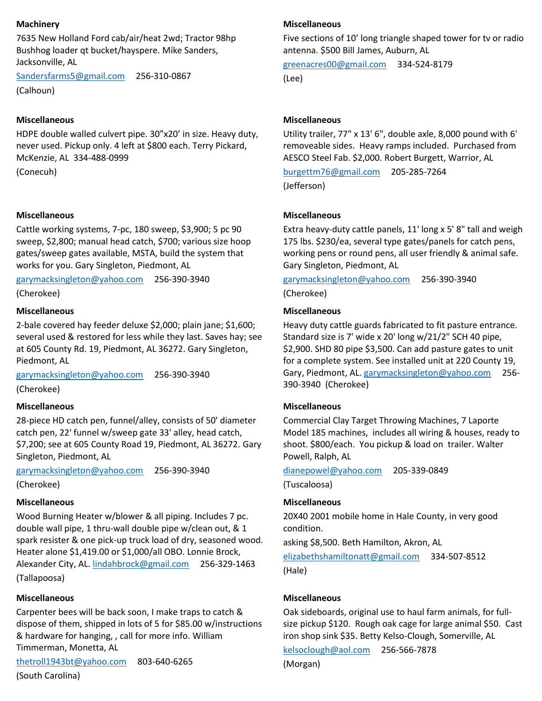### **Machinery**

7635 New Holland Ford cab/air/heat 2wd; Tractor 98hp Bushhog loader qt bucket/hayspere. Mike Sanders, Jacksonville, AL

[Sandersfarms5@gmail.com](mailto:Sandersfarms5@gmail.com) 256-310-0867 (Calhoun)

### **Miscellaneous**

HDPE double walled culvert pipe. 30"x20' in size. Heavy duty, never used. Pickup only. 4 left at \$800 each. Terry Pickard, McKenzie, AL 334-488-0999

(Conecuh)

### **Miscellaneous**

Cattle working systems, 7-pc, 180 sweep, \$3,900; 5 pc 90 sweep, \$2,800; manual head catch, \$700; various size hoop gates/sweep gates available, MSTA, build the system that works for you. Gary Singleton, Piedmont, AL

[garymacksingleton@yahoo.com](mailto:garymacksingleton@yahoo.com) 256-390-3940

(Cherokee)

# **Miscellaneous**

2-bale covered hay feeder deluxe \$2,000; plain jane; \$1,600; several used & restored for less while they last. Saves hay; see at 605 County Rd. 19, Piedmont, AL 36272. Gary Singleton, Piedmont, AL

[garymacksingleton@yahoo.com](mailto:garymacksingleton@yahoo.com) 256-390-3940 (Cherokee)

# **Miscellaneous**

28-piece HD catch pen, funnel/alley, consists of 50' diameter catch pen, 22' funnel w/sweep gate 33' alley, head catch, \$7,200; see at 605 County Road 19, Piedmont, AL 36272. Gary Singleton, Piedmont, AL

[garymacksingleton@yahoo.com](mailto:garymacksingleton@yahoo.com) 256-390-3940

(Cherokee)

### **Miscellaneous**

Wood Burning Heater w/blower & all piping. Includes 7 pc. double wall pipe, 1 thru-wall double pipe w/clean out, & 1 spark resister & one pick-up truck load of dry, seasoned wood. Heater alone \$1,419.00 or \$1,000/all OBO. Lonnie Brock, Alexander City, AL[. lindahbrock@gmail.com](mailto:lindahbrock@gmail.com) 256-329-1463 (Tallapoosa)

### **Miscellaneous**

Carpenter bees will be back soon, I make traps to catch & dispose of them, shipped in lots of 5 for \$85.00 w/instructions & hardware for hanging, , call for more info. William Timmerman, Monetta, AL

[thetroll1943bt@yahoo.com](mailto:thetroll1943bt@yahoo.com) 803-640-6265 (South Carolina)

# **Miscellaneous**

Five sections of 10' long triangle shaped tower for tv or radio antenna. \$500 Bill James, Auburn, AL

[greenacres00@gmail.com](mailto:greenacres00@gmail.com) 334-524-8179 (Lee)

### **Miscellaneous**

Utility trailer, 77" x 13' 6", double axle, 8,000 pound with 6' removeable sides. Heavy ramps included. Purchased from AESCO Steel Fab. \$2,000. Robert Burgett, Warrior, AL

[burgettm76@gmail.com](mailto:burgettm76@gmail.com) 205-285-7264 (Jefferson)

### **Miscellaneous**

Extra heavy-duty cattle panels, 11' long x 5' 8" tall and weigh 175 lbs. \$230/ea, several type gates/panels for catch pens, working pens or round pens, all user friendly & animal safe. Gary Singleton, Piedmont, AL

[garymacksingleton@yahoo.com](mailto:garymacksingleton@yahoo.com) 256-390-3940

(Cherokee)

# **Miscellaneous**

Heavy duty cattle guards fabricated to fit pasture entrance. Standard size is 7' wide x 20' long w/21/2" SCH 40 pipe, \$2,900. SHD 80 pipe \$3,500. Can add pasture gates to unit for a complete system. See installed unit at 220 County 19, Gary, Piedmont, AL. [garymacksingleton@yahoo.com](mailto:garymacksingleton@yahoo.com) 256- 390-3940 (Cherokee)

### **Miscellaneous**

Commercial Clay Target Throwing Machines, 7 Laporte Model 185 machines, includes all wiring & houses, ready to shoot. \$800/each. You pickup & load on trailer. Walter Powell, Ralph, AL

[dianepowel@yahoo.com](mailto:dianepowel@yahoo.com) 205-339-0849

(Tuscaloosa)

# **Miscellaneous**

20X40 2001 mobile home in Hale County, in very good condition.

asking \$8,500. Beth Hamilton, Akron, AL

[elizabethshamiltonatt@gmail.com](mailto:elizabethshamiltonatt@gmail.com) 334-507-8512 (Hale)

### **Miscellaneous**

Oak sideboards, original use to haul farm animals, for fullsize pickup \$120. Rough oak cage for large animal \$50. Cast iron shop sink \$35. Betty Kelso-Clough, Somerville, AL

[kelsoclough@aol.com](mailto:kelsoclough@aol.com) 256-566-7878

(Morgan)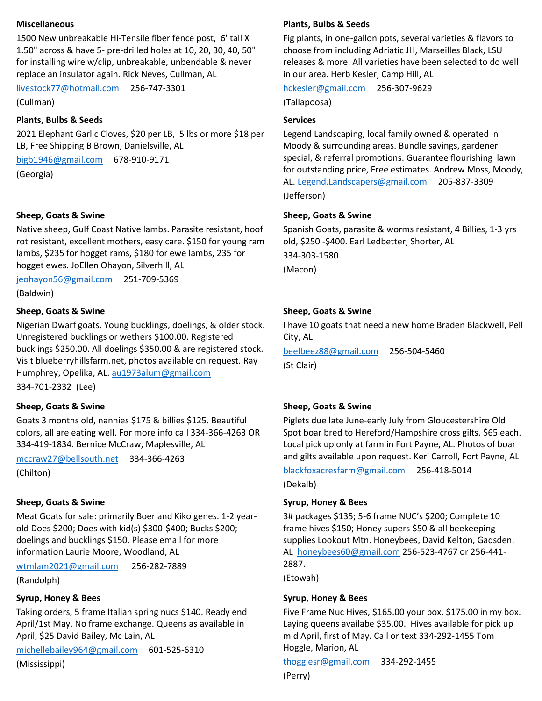### **Miscellaneous**

1500 New unbreakable Hi-Tensile fiber fence post, 6' tall X 1.50" across & have 5- pre-drilled holes at 10, 20, 30, 40, 50" for installing wire w/clip, unbreakable, unbendable & never replace an insulator again. Rick Neves, Cullman, AL

[livestock77@hotmail.com](mailto:livestock77@hotmail.com) 256-747-3301

(Cullman)

### **Plants, Bulbs & Seeds**

2021 Elephant Garlic Cloves, \$20 per LB, 5 lbs or more \$18 per LB, Free Shipping B Brown, Danielsville, AL

[bigb1946@gmail.com](mailto:bigb1946@gmail.com) 678-910-9171 (Georgia)

### **Sheep, Goats & Swine**

Native sheep, Gulf Coast Native lambs. Parasite resistant, hoof rot resistant, excellent mothers, easy care. \$150 for young ram lambs, \$235 for hogget rams, \$180 for ewe lambs, 235 for hogget ewes. JoEllen Ohayon, Silverhill, AL

[jeohayon56@gmail.com](mailto:jeohayon56@gmail.com) 251-709-5369 (Baldwin)

# **Sheep, Goats & Swine**

Nigerian Dwarf goats. Young bucklings, doelings, & older stock. Unregistered bucklings or wethers \$100.00. Registered bucklings \$250.00. All doelings \$350.00 & are registered stock. Visit blueberryhillsfarm.net, photos available on request. Ray Humphrey, Opelika, AL. [au1973alum@gmail.com](mailto:au1973alum@gmail.com)

334-701-2332 (Lee)

### **Sheep, Goats & Swine**

Goats 3 months old, nannies \$175 & billies \$125. Beautiful colors, all are eating well. For more info call 334-366-4263 OR 334-419-1834. Bernice McCraw, Maplesville, AL

[mccraw27@bellsouth.net](mailto:mccraw27@bellsouth.net) 334-366-4263 (Chilton)

### **Sheep, Goats & Swine**

Meat Goats for sale: primarily Boer and Kiko genes. 1-2 yearold Does \$200; Does with kid(s) \$300-\$400; Bucks \$200; doelings and bucklings \$150. Please email for more information Laurie Moore, Woodland, AL

[wtmlam2021@gmail.com](mailto:wtmlam2021@gmail.com) 256-282-7889

(Randolph)

### **Syrup, Honey & Bees**

Taking orders, 5 frame Italian spring nucs \$140. Ready end April/1st May. No frame exchange. Queens as available in April, \$25 David Bailey, Mc Lain, AL

[michellebailey964@gmail.com](mailto:michellebailey964@gmail.com) 601-525-6310

(Mississippi)

### **Plants, Bulbs & Seeds**

Fig plants, in one-gallon pots, several varieties & flavors to choose from including Adriatic JH, Marseilles Black, LSU releases & more. All varieties have been selected to do well in our area. Herb Kesler, Camp Hill, AL

[hckesler@gmail.com](mailto:hckesler@gmail.com) 256-307-9629

(Tallapoosa)

### **Services**

Legend Landscaping, local family owned & operated in Moody & surrounding areas. Bundle savings, gardener special, & referral promotions. Guarantee flourishing lawn for outstanding price, Free estimates. Andrew Moss, Moody, AL. [Legend.Landscapers@gmail.com](mailto:Legend.Landscapers@gmail.com) 205-837-3309 (Jefferson)

### **Sheep, Goats & Swine**

Spanish Goats, parasite & worms resistant, 4 Billies, 1-3 yrs old, \$250 -\$400. Earl Ledbetter, Shorter, AL

334-303-1580 (Macon)

### **Sheep, Goats & Swine**

I have 10 goats that need a new home Braden Blackwell, Pell City, AL

[beelbeez88@gmail.com](mailto:beelbeez88@gmail.com) 256-504-5460 (St Clair)

### **Sheep, Goats & Swine**

Piglets due late June-early July from Gloucestershire Old Spot boar bred to Hereford/Hampshire cross gilts. \$65 each. Local pick up only at farm in Fort Payne, AL. Photos of boar and gilts available upon request. Keri Carroll, Fort Payne, AL

# [blackfoxacresfarm@gmail.com](mailto:blackfoxacresfarm@gmail.com) 256-418-5014

(Dekalb)

### **Syrup, Honey & Bees**

3# packages \$135; 5-6 frame NUC's \$200; Complete 10 frame hives \$150; Honey supers \$50 & all beekeeping supplies Lookout Mtn. Honeybees, David Kelton, Gadsden, AL [honeybees60@gmail.com](mailto:honeybees60@gmail.com) 256-523-4767 or 256-441- 2887.

(Etowah)

### **Syrup, Honey & Bees**

Five Frame Nuc Hives, \$165.00 your box, \$175.00 in my box. Laying queens availabe \$35.00. Hives available for pick up mid April, first of May. Call or text 334-292-1455 Tom Hoggle, Marion, AL

[thogglesr@gmail.com](mailto:thogglesr@gmail.com) 334-292-1455

(Perry)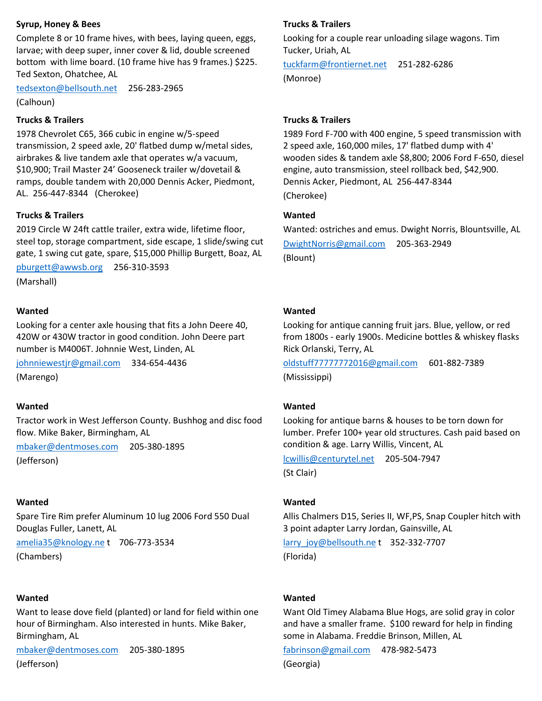### **Syrup, Honey & Bees**

Complete 8 or 10 frame hives, with bees, laying queen, eggs, larvae; with deep super, inner cover & lid, double screened bottom with lime board. (10 frame hive has 9 frames.) \$225. Ted Sexton, Ohatchee, AL

[tedsexton@bellsouth.net](mailto:tedsexton@bellsouth.net) 256-283-2965

(Calhoun)

# **Trucks & Trailers**

1978 Chevrolet C65, 366 cubic in engine w/5-speed transmission, 2 speed axle, 20' flatbed dump w/metal sides, airbrakes & live tandem axle that operates w/a vacuum, \$10,900; Trail Master 24' Gooseneck trailer w/dovetail & ramps, double tandem with 20,000 Dennis Acker, Piedmont, AL. 256-447-8344 (Cherokee)

### **Trucks & Trailers**

2019 Circle W 24ft cattle trailer, extra wide, lifetime floor, steel top, storage compartment, side escape, 1 slide/swing cut gate, 1 swing cut gate, spare, \$15,000 Phillip Burgett, Boaz, AL

[pburgett@awwsb.org](mailto:pburgett@awwsb.org) 256-310-3593

(Marshall)

# **Wanted**

Looking for a center axle housing that fits a John Deere 40, 420W or 430W tractor in good condition. John Deere part number is M4006T. Johnnie West, Linden, AL

[johnniewestjr@gmail.com](mailto:johnniewestjr@gmail.com) 334-654-4436 (Marengo)

### **Wanted**

Tractor work in West Jefferson County. Bushhog and disc food flow. Mike Baker, Birmingham, AL

[mbaker@dentmoses.com](mailto:mbaker@dentmoses.com) 205-380-1895 (Jefferson)

### **Wanted**

Spare Tire Rim prefer Aluminum 10 lug 2006 Ford 550 Dual Douglas Fuller, Lanett, AL

[amelia35@knology.ne](mailto:amelia35@knology.ne) t 706-773-3534 (Chambers)

### **Wanted**

Want to lease dove field (planted) or land for field within one hour of Birmingham. Also interested in hunts. Mike Baker, Birmingham, AL

[mbaker@dentmoses.com](mailto:mbaker@dentmoses.com) 205-380-1895 (Jefferson)

# **Trucks & Trailers**

Looking for a couple rear unloading silage wagons. Tim Tucker, Uriah, AL

[tuckfarm@frontiernet.net](mailto:tuckfarm@frontiernet.net) 251-282-6286 (Monroe)

### **Trucks & Trailers**

1989 Ford F-700 with 400 engine, 5 speed transmission with 2 speed axle, 160,000 miles, 17' flatbed dump with 4' wooden sides & tandem axle \$8,800; 2006 Ford F-650, diesel engine, auto transmission, steel rollback bed, \$42,900. Dennis Acker, Piedmont, AL 256-447-8344 (Cherokee)

### **Wanted**

Wanted: ostriches and emus. Dwight Norris, Blountsville, AL [DwightNorris@gmail.com](mailto:DwightNorris@gmail.com) 205-363-2949 (Blount)

# **Wanted**

Looking for antique canning fruit jars. Blue, yellow, or red from 1800s - early 1900s. Medicine bottles & whiskey flasks Rick Orlanski, Terry, AL

[oldstuff77777772016@gmail.com](mailto:oldstuff77777772016@gmail.com) 601-882-7389 (Mississippi)

### **Wanted**

Looking for antique barns & houses to be torn down for lumber. Prefer 100+ year old structures. Cash paid based on condition & age. Larry Willis, Vincent, AL

[lcwillis@centurytel.net](mailto:lcwillis@centurytel.net) 205-504-7947 (St Clair)

### **Wanted**

Allis Chalmers D15, Series II, WF,PS, Snap Coupler hitch with 3 point adapter Larry Jordan, Gainsville, AL

[larry\\_joy@bellsouth.ne](mailto:larry_joy@bellsouth.ne) t 352-332-7707 (Florida)

### **Wanted**

Want Old Timey Alabama Blue Hogs, are solid gray in color and have a smaller frame. \$100 reward for help in finding some in Alabama. Freddie Brinson, Millen, AL

[fabrinson@gmail.com](mailto:fabrinson@gmail.com) 478-982-5473 (Georgia)